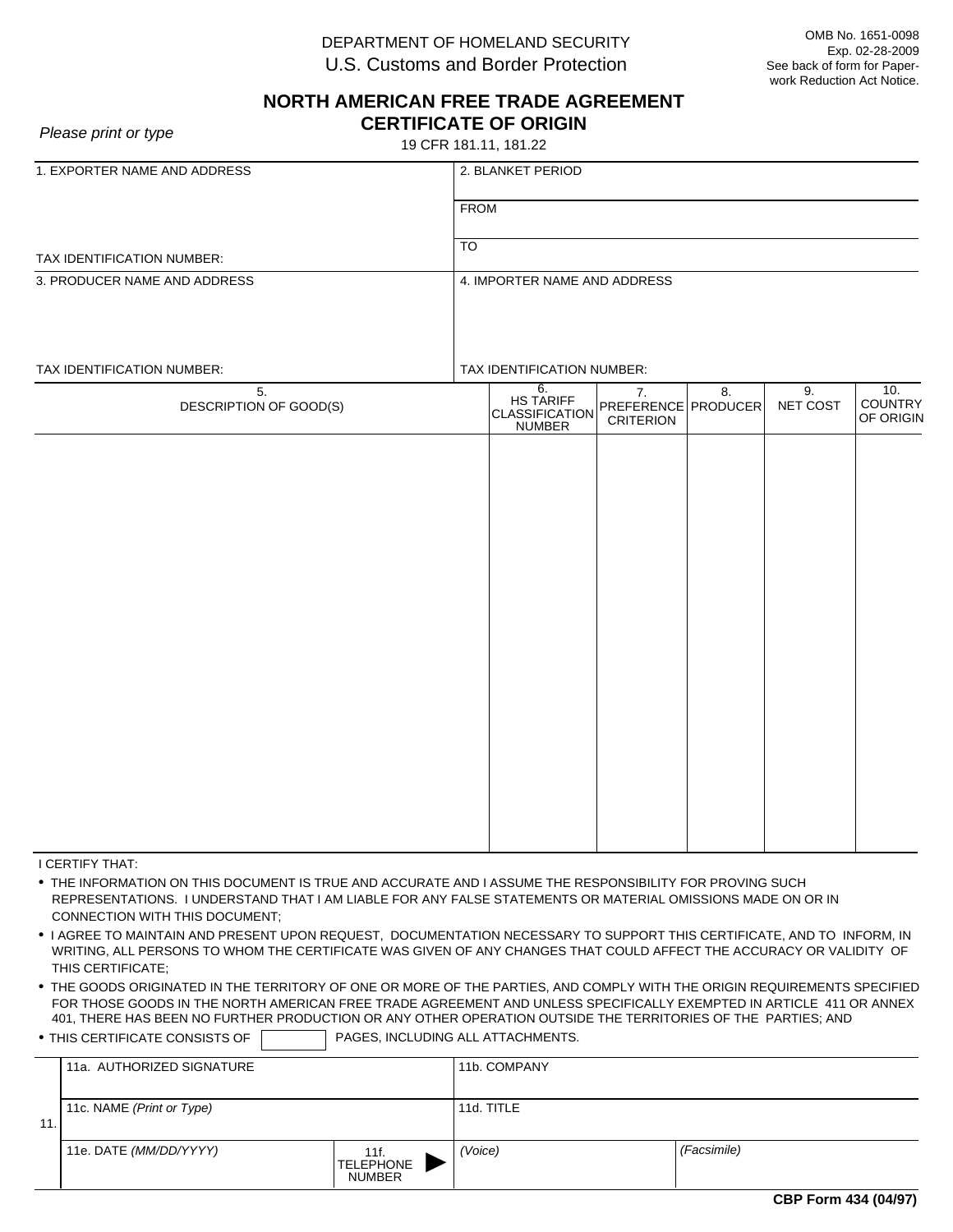# U.S. Customs and Border Protection DEPARTMENT OF HOMELAND SECURITY

# **NORTH AMERICAN FREE TRADE AGREEMENT**

**CERTIFICATE OF ORIGIN** 19 CFR 181.11, 181.22

| $1.3$ U IN 101.11, 101.22                  |                   |                                             |                                               |    |                |                                    |
|--------------------------------------------|-------------------|---------------------------------------------|-----------------------------------------------|----|----------------|------------------------------------|
| 1. EXPORTER NAME AND ADDRESS               | 2. BLANKET PERIOD |                                             |                                               |    |                |                                    |
|                                            | <b>FROM</b>       |                                             |                                               |    |                |                                    |
| TAX IDENTIFICATION NUMBER:                 | <b>TO</b>         |                                             |                                               |    |                |                                    |
| 3. PRODUCER NAME AND ADDRESS               |                   | 4. IMPORTER NAME AND ADDRESS                |                                               |    |                |                                    |
| TAX IDENTIFICATION NUMBER:                 |                   | TAX IDENTIFICATION NUMBER:                  |                                               |    |                |                                    |
| $\overline{5}$ .<br>DESCRIPTION OF GOOD(S) |                   | 6.<br>HS TARIFF<br>CLASSIFICATION<br>NUMBER | 7.<br>PREFERENCE PRODUCER<br><b>CRITERION</b> | 8. | 9.<br>NET COST | 10.<br><b>COUNTRY</b><br>OF ORIGIN |
|                                            |                   |                                             |                                               |    |                |                                    |
|                                            |                   |                                             |                                               |    |                |                                    |
|                                            |                   |                                             |                                               |    |                |                                    |
|                                            |                   |                                             |                                               |    |                |                                    |
|                                            |                   |                                             |                                               |    |                |                                    |
|                                            |                   |                                             |                                               |    |                |                                    |
|                                            |                   |                                             |                                               |    |                |                                    |
|                                            |                   |                                             |                                               |    |                |                                    |
|                                            |                   |                                             |                                               |    |                |                                    |

I CERTIFY THAT:

*Please print or type*

• THE INFORMATION ON THIS DOCUMENT IS TRUE AND ACCURATE AND I ASSUME THE RESPONSIBILITY FOR PROVING SUCH REPRESENTATIONS. I UNDERSTAND THAT I AM LIABLE FOR ANY FALSE STATEMENTS OR MATERIAL OMISSIONS MADE ON OR IN CONNECTION WITH THIS DOCUMENT;

• I AGREE TO MAINTAIN AND PRESENT UPON REQUEST, DOCUMENTATION NECESSARY TO SUPPORT THIS CERTIFICATE, AND TO INFORM, IN WRITING, ALL PERSONS TO WHOM THE CERTIFICATE WAS GIVEN OF ANY CHANGES THAT COULD AFFECT THE ACCURACY OR VALIDITY OF THIS CERTIFICATE;

• THE GOODS ORIGINATED IN THE TERRITORY OF ONE OR MORE OF THE PARTIES, AND COMPLY WITH THE ORIGIN REQUIREMENTS SPECIFIED FOR THOSE GOODS IN THE NORTH AMERICAN FREE TRADE AGREEMENT AND UNLESS SPECIFICALLY EXEMPTED IN ARTICLE 411 OR ANNEX 401, THERE HAS BEEN NO FURTHER PRODUCTION OR ANY OTHER OPERATION OUTSIDE THE TERRITORIES OF THE PARTIES; AND

• THIS CERTIFICATE CONSISTS OF **PAGES, INCLUDING ALL ATTACHMENTS.** 

|      | 11a. AUTHORIZED SIGNATURE |                                           | 11b. COMPANY |             |  |
|------|---------------------------|-------------------------------------------|--------------|-------------|--|
| 11.1 | 11c. NAME (Print or Type) |                                           | 11d. TITLE   |             |  |
|      | 11e. DATE (MM/DD/YYYY)    | 11f.<br><b>TELEPHONE</b><br><b>NUMBER</b> | (Voice)      | (Facsimile) |  |